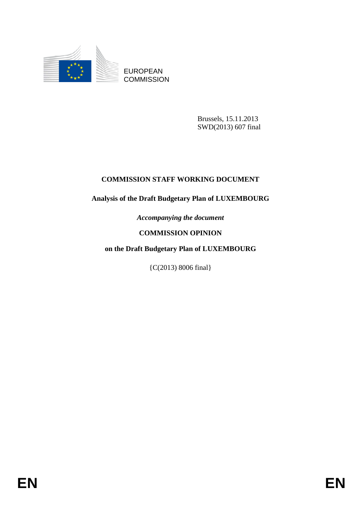

EUROPEAN **COMMISSION** 

> Brussels, 15.11.2013 SWD(2013) 607 final

# **COMMISSION STAFF WORKING DOCUMENT**

# **Analysis of the Draft Budgetary Plan of LUXEMBOURG**

*Accompanying the document* 

# **COMMISSION OPINION**

# **on the Draft Budgetary Plan of LUXEMBOURG**

{C(2013) 8006 final}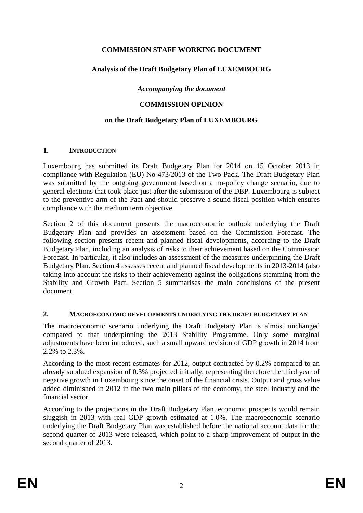# **COMMISSION STAFF WORKING DOCUMENT**

## **Analysis of the Draft Budgetary Plan of LUXEMBOURG**

### *Accompanying the document*

### **COMMISSION OPINION**

### **on the Draft Budgetary Plan of LUXEMBOURG**

#### **1. INTRODUCTION**

Luxembourg has submitted its Draft Budgetary Plan for 2014 on 15 October 2013 in compliance with Regulation (EU) No 473/2013 of the Two-Pack. The Draft Budgetary Plan was submitted by the outgoing government based on a no-policy change scenario, due to general elections that took place just after the submission of the DBP. Luxembourg is subject to the preventive arm of the Pact and should preserve a sound fiscal position which ensures compliance with the medium term objective.

Section 2 of this document presents the macroeconomic outlook underlying the Draft Budgetary Plan and provides an assessment based on the Commission Forecast. The following section presents recent and planned fiscal developments, according to the Draft Budgetary Plan, including an analysis of risks to their achievement based on the Commission Forecast. In particular, it also includes an assessment of the measures underpinning the Draft Budgetary Plan. Section 4 assesses recent and planned fiscal developments in 2013-2014 (also taking into account the risks to their achievement) against the obligations stemming from the Stability and Growth Pact. Section 5 summarises the main conclusions of the present document.

#### **2. MACROECONOMIC DEVELOPMENTS UNDERLYING THE DRAFT BUDGETARY PLAN**

The macroeconomic scenario underlying the Draft Budgetary Plan is almost unchanged compared to that underpinning the 2013 Stability Programme. Only some marginal adjustments have been introduced, such a small upward revision of GDP growth in 2014 from 2.2% to 2.3%.

According to the most recent estimates for 2012, output contracted by 0.2% compared to an already subdued expansion of 0.3% projected initially, representing therefore the third year of negative growth in Luxembourg since the onset of the financial crisis. Output and gross value added diminished in 2012 in the two main pillars of the economy, the steel industry and the financial sector.

According to the projections in the Draft Budgetary Plan, economic prospects would remain sluggish in 2013 with real GDP growth estimated at 1.0%. The macroeconomic scenario underlying the Draft Budgetary Plan was established before the national account data for the second quarter of 2013 were released, which point to a sharp improvement of output in the second quarter of 2013.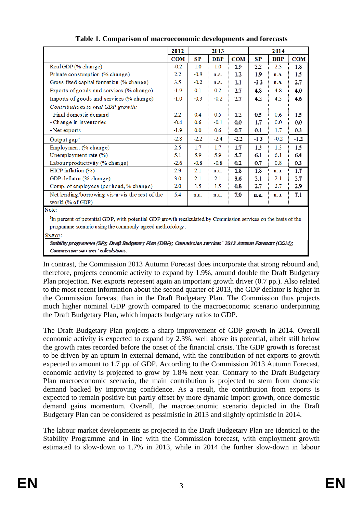|                                                 | 2012<br>2013     |         |            | 2014           |           |            |                |
|-------------------------------------------------|------------------|---------|------------|----------------|-----------|------------|----------------|
|                                                 | <b>COM</b>       | SP      | <b>DBP</b> | <b>COM</b>     | <b>SP</b> | <b>DBP</b> | <b>COM</b>     |
| Real GDP (% change)                             | $-0.2$           | 1.0     | 1.0        | 19             | 22        | 2.3        | 18             |
| Private consumption (% change)                  | $2.2\phantom{0}$ | $-0.8$  | n.a.       | 12             | 19        | n.a.       | 1.5            |
| Gross fixed capital formation (% change)        | 3.5              | $-0.2$  | n.a.       | 1.1            | $-3.3$    | n.a.       | 27             |
| Exports of goods and services (% change)        | $-1.9$           | 0.1     | 0.2        | 27             | 48        | 4.8        | 4.0            |
| Imports of goods and services (% change)        | $-1.0$           | $-0.3$  | $-0.2$     | 27             | 42        | 4.3        | 4.6            |
| Contributions to real GDP growth:               |                  |         |            |                |           |            |                |
| - Final domestic demand                         | $2.2\phantom{0}$ | 0.4     | 0.5        | 12             | 0.5       | 0.6        | 1.5            |
| - Change in inventories                         | $-0.4$           | 0.6     | $-0.1$     | 0 <sub>0</sub> | 17        | 0.0        | 0 <sub>0</sub> |
| - Net exports                                   | $-1.9$           | 0.0     | 0.6        | 07             | 0.1       | 1.7        | 03             |
| Output gap <sup>1</sup>                         | $-2.8$           | $-2.2$  | $-2.4$     | -22.           | $-1.3$    | $-0.2$     | $-1.2$         |
| Employment (% change)                           | 2.5              | $1.7\,$ | $1.7\,$    | 17             | 13        | 1.3        | 1.5            |
| Unemployment rate (%)                           | 5.1              | 5.9     | 5.9        | 57             | 61        | 6.1        | 64             |
| Labour productivity (% change)                  | $-2.6$           | $-0.8$  | $-0.8$     | 02             | 0.7       | 0.8        | 03             |
| HICP inflation $(\% )$                          | 2.9              | 2.1     | n.a.       | 18             | 18        | n.a.       | 17             |
| GDP deflator (% change)                         | 3.0              | 2.1     | 2.1        | 36             | 21        | 2.1        | 27             |
| Comp. of employees (per head, % change)         | 2.0              | 1.5     | 1.5        | 0.8            | 27        | 2.7        | 29             |
| Net lending/borrowing vis-à-vis the rest of the | 5.4              | n.a.    | n.a.       | 70             | n a       | n.a.       | 71             |
| world (% of GDP)                                |                  |         |            |                |           |            |                |
| Matar                                           |                  |         |            |                |           |            |                |

**Table 1. Comparison of macroeconomic developments and forecasts** 

Note:

<sup>1</sup>In percent of potential GDP, with potential GDP growth recalculated by Commission services on the basis of the programme scenario using the commonly agreed methodology.

Source:

Stability programme (SP); Draft Budgetary Plan (DBP); Commission services ' 2013 Autumn Forecast (COM); Commission services ' calculations.

In contrast, the Commission 2013 Autumn Forecast does incorporate that strong rebound and, therefore, projects economic activity to expand by 1.9%, around double the Draft Budgetary Plan projection. Net exports represent again an important growth driver (0.7 pp.). Also related to the most recent information about the second quarter of 2013, the GDP deflator is higher in the Commission forecast than in the Draft Budgetary Plan. The Commission thus projects much higher nominal GDP growth compared to the macroeconomic scenario underpinning the Draft Budgetary Plan, which impacts budgetary ratios to GDP.

The Draft Budgetary Plan projects a sharp improvement of GDP growth in 2014. Overall economic activity is expected to expand by 2.3%, well above its potential, albeit still below the growth rates recorded before the onset of the financial crisis. The GDP growth is forecast to be driven by an upturn in external demand, with the contribution of net exports to growth expected to amount to 1.7 pp. of GDP. According to the Commission 2013 Autumn Forecast, economic activity is projected to grow by 1.8% next year. Contrary to the Draft Budgetary Plan macroeconomic scenario, the main contribution is projected to stem from domestic demand backed by improving confidence. As a result, the contribution from exports is expected to remain positive but partly offset by more dynamic import growth, once domestic demand gains momentum. Overall, the macroeconomic scenario depicted in the Draft Budgetary Plan can be considered as pessimistic in 2013 and slightly optimistic in 2014.

The labour market developments as projected in the Draft Budgetary Plan are identical to the Stability Programme and in line with the Commission forecast, with employment growth estimated to slow-down to 1.7% in 2013, while in 2014 the further slow-down in labour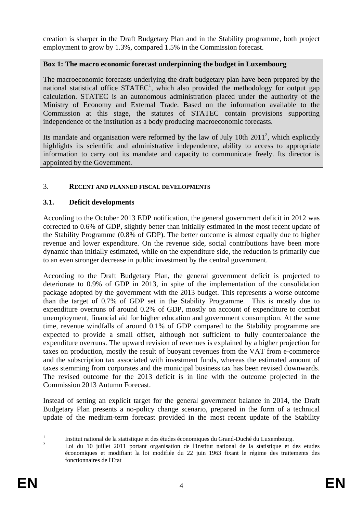creation is sharper in the Draft Budgetary Plan and in the Stability programme, both project employment to grow by 1.3%, compared 1.5% in the Commission forecast.

### **Box 1: The macro economic forecast underpinning the budget in Luxembourg**

The macroeconomic forecasts underlying the draft budgetary plan have been prepared by the national statistical office  $STATEC<sup>1</sup>$ , which also provided the methodology for output gap calculation. STATEC is an autonomous administration placed under the authority of the Ministry of Economy and External Trade. Based on the information available to the Commission at this stage, the statutes of STATEC contain provisions supporting independence of the institution as a body producing macroeconomic forecasts.

Its mandate and organisation were reformed by the law of July 10th  $2011^2$ , which explicitly highlights its scientific and administrative independence, ability to access to appropriate information to carry out its mandate and capacity to communicate freely. Its director is appointed by the Government.

### 3. **RECENT AND PLANNED FISCAL DEVELOPMENTS**

### **3.1. Deficit developments**

According to the October 2013 EDP notification, the general government deficit in 2012 was corrected to 0.6% of GDP, slightly better than initially estimated in the most recent update of the Stability Programme (0.8% of GDP). The better outcome is almost equally due to higher revenue and lower expenditure. On the revenue side, social contributions have been more dynamic than initially estimated, while on the expenditure side, the reduction is primarily due to an even stronger decrease in public investment by the central government.

According to the Draft Budgetary Plan, the general government deficit is projected to deteriorate to 0.9% of GDP in 2013, in spite of the implementation of the consolidation package adopted by the government with the 2013 budget. This represents a worse outcome than the target of 0.7% of GDP set in the Stability Programme. This is mostly due to expenditure overruns of around 0.2% of GDP, mostly on account of expenditure to combat unemployment, financial aid for higher education and government consumption. At the same time, revenue windfalls of around 0.1% of GDP compared to the Stability programme are expected to provide a small offset, although not sufficient to fully counterbalance the expenditure overruns. The upward revision of revenues is explained by a higher projection for taxes on production, mostly the result of buoyant revenues from the VAT from e-commerce and the subscription tax associated with investment funds, whereas the estimated amount of taxes stemming from corporates and the municipal business tax has been revised downwards. The revised outcome for the 2013 deficit is in line with the outcome projected in the Commission 2013 Autumn Forecast.

Instead of setting an explicit target for the general government balance in 2014, the Draft Budgetary Plan presents a no-policy change scenario, prepared in the form of a technical update of the medium-term forecast provided in the most recent update of the Stability

 $\frac{1}{1}$  Institut national de la statistique et des études économiques du Grand-Duché du Luxembourg. 2

Loi du 10 juillet 2011 portant organisation de l'Institut national de la statistique et des etudes économiques et modifiant la loi modifiée du 22 juin 1963 fixant le régime des traitements des fonctionnaires de l'Etat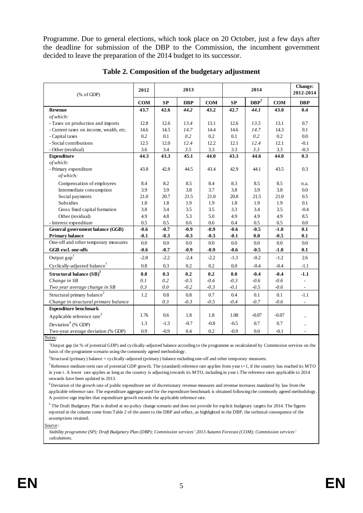Programme. Due to general elections, which took place on 20 October, just a few days after the deadline for submission of the DBP to the Commission, the incumbent government decided to leave the preparation of the 2014 budget to its successor.

| % of GDP                                 | 2012       | 2013   |            |            |         | <b>Change:</b><br>2012-2014 |            |            |
|------------------------------------------|------------|--------|------------|------------|---------|-----------------------------|------------|------------|
|                                          | <b>COM</b> | SP     | <b>DBP</b> | <b>COM</b> | SP      | $DBP^5$                     | <b>COM</b> | <b>DBP</b> |
| <b>Revenue</b>                           | 43.7       | 42.6   | 44.2       | 43.2       | 42.7    | 44.1                        | 43.0       | 0.4        |
| of which:                                |            |        |            |            |         |                             |            |            |
| - Taxes on production and imports        | 12.8       | 12.6   | 13.4       | 13.1       | 12.6    | 13.5                        | 13.1       | 0.7        |
| - Current taxes on income, wealth, etc.  | 14.6       | 14.5   | 14.7       | 14.4       | 14.6    | 14.7                        | 14.3       | 0.1        |
| - Capital taxes                          | 0.2        | 0.1    | 0.2        | 0.2        | 0.1     | 0.2                         | $0.2\,$    | $0.0\,$    |
| - Social contributions                   | 12.5       | 12.0   | 12.4       | 12.2       | 12.1    | 12.4                        | 12.1       | $-0.1$     |
| - Other (residual)                       | 3.6        | 3.4    | 3.5        | 3.3        | 3.3     | 3.3                         | 3.3        | $-0.3$     |
| <b>Expenditure</b>                       | 44.3       | 43.3   | 45.1       | 44.0       | 43.3    | 44.6                        | 44.0       | 0.3        |
| of which:                                |            |        |            |            |         |                             |            |            |
| - Primary expenditure                    | 43.8       | 42.8   | 44.5       | 43.4       | 42.9    | 44.1                        | 43.5       | 0.3        |
| of which:                                |            |        |            |            |         |                             |            |            |
| Compensation of employees                | 8.4        | 8.2    | 8.5        | 8.4        | 8.3     | 8.5                         | 8.5        | n.a.       |
| Intermediate consumption                 | 3.9        | 3.9    | 3.8        | 3.7        | 3.8     | 3.9                         | 3.8        | 0.0        |
| Social payments                          | 21.0       | 20.7   | 21.5       | 21.0       | 20.8    | 21.5                        | 21.0       | 0.5        |
| <b>Subsidies</b>                         | 1.8        | 1.8    | 1.9        | 1.9        | 1.8     | 1.9                         | 1.9        | 0.1        |
| Gross fixed capital formation            | 3.8        | 3.4    | 3.5        | 3.5        | 3.3     | 3.4                         | 3.5        | $-0.4$     |
| Other (residual)                         | 4.9        | 4.8    | 5.3        | 5.0        | 4.9     | 4.9                         | 4.9        | 8.5        |
| - Interest expenditure                   | 0.5        | 0.5    | 0.6        | 0.6        | $0.4\,$ | 0.5                         | 0.5        | 0.0        |
| General government balance (GGB)         | $-0.6$     | $-0.7$ | $-0.9$     | $-0.9$     | $-0.6$  | $-0.5$                      | $-1.0$     | 0.1        |
| <b>Primary balance</b>                   | $-0.1$     | $-0.3$ | $-0.3$     | $-0.3$     | $-0.1$  | 0.0                         | $-0.5$     | 0.1        |
| One-off and other temporary measures     | 0.0        | 0.0    | 0.0        | 0.0        | 0.0     | 0.0                         | 0.0        | 0.0        |
| GGB excl. one-offs                       | $-0.6$     | $-0.7$ | $-0.9$     | $-0.9$     | $-0.6$  | $-0.5$                      | $-1.0$     | 0.1        |
| Output gap                               | $-2.8$     | $-2.2$ | $-2.4$     | $-2.2$     | $-1.3$  | $-0.2$                      | $-1.2$     | 2.6        |
| Cyclically-adjusted balance <sup>1</sup> | 0.8        | 0.3    | 0.2        | 0.2        | 0.0     | $-0.4$                      | $-0.4$     | $-1.1$     |
| Structural balance (SB) <sup>2</sup>     | 0.8        | 0.3    | 0.2        | 0.2        | 0.0     | $-0.4$                      | $-0.4$     | $-1.1$     |
| Change in SB                             | 0.1        | 0.2    | $-0.5$     | $-0.6$     | $-0.3$  | $-0.6$                      | $-0.6$     |            |
| Two year average change in SB            | 0.3        | 0.0    | $-0.2$     | $-0.3$     | $-0.1$  | $-0.5$                      | $-0.6$     |            |
| Structural primary balance <sup>2</sup>  | 1.2        | 0.8    | 0.8        | 0.7        | 0.4     | 0.1                         | 0.1        | $-1.1$     |
| Change in structural primary balance     |            | 0.3    | $-0.3$     | $-0.5$     | $-0.4$  | $-0.7$                      | $-0.6$     |            |
| <b>Expenditure benchmark</b>             |            |        |            |            |         |                             |            |            |
| Applicable reference rate <sup>3</sup>   | 1.76       | 0.6    | 1.8        | 1.8        | 1.08    | $-0.07$                     | $-0.07$    |            |
| Deviation <sup>4</sup> (% GDP)           | 1.3        | $-1.3$ | $-0.7$     | $-0.8$     | $-0.5$  | 0.7                         | 0.7        |            |
| Two-year average deviation (% GDP)       | 0.9        | $-0.9$ | 0.4        | 0.2        | $-0.9$  | 0.0                         | $-0.1$     |            |

**Table 2. Composition of the budgetary adjustment** 

Notes*:*

1 Output gap (in % of potential GDP) and cyclically-adjusted balance according to the programme as recalculated by Commission services on the basis of the programme scenario using the commonly agreed methodology.

2 Structural (primary) balance = cyclically-adjusted (primary) balance excluding one-off and other temporary measures.

<sup>3</sup> Reference medium-term rate of potential GDP growth. The (standard) reference rate applies from year t+1, if the country has reached its MTO in year t. A lower rate applies as long as the country is adjusting towards its MTO, including in year t.The reference rates applicable to 2014 onwards have been updated in 2013.

4 Deviation of the growth rate of public expenditure net of discretionary revenue measures and revenue increases mandated by law from the applicable reference rate. The expenditure aggregate used for the expenditure benchmark is obtained following the commonly agreed methodology. A positive sign implies that expenditure growth exceeds the applicable reference rate.

 $5$  The Draft Budgetary Plan is drafted at no-policy change scenario and does not provide for explicit budgetary targets for 2014. The figures reported in the column come from Table 2 of the annex to the DBP and reflect, as highlighted in the DBP, the technical consequence of the assumptions retained.

*Source :*

*Stability programme (SP); Draft Budgetary Plan (DBP); Commission services' 2013 Autumn Forecast (COM); Commission services' calculations.*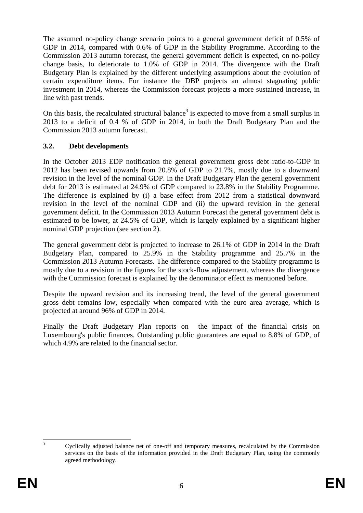The assumed no-policy change scenario points to a general government deficit of 0.5% of GDP in 2014, compared with 0.6% of GDP in the Stability Programme. According to the Commission 2013 autumn forecast, the general government deficit is expected, on no-policy change basis, to deteriorate to 1.0% of GDP in 2014. The divergence with the Draft Budgetary Plan is explained by the different underlying assumptions about the evolution of certain expenditure items. For instance the DBP projects an almost stagnating public investment in 2014, whereas the Commission forecast projects a more sustained increase, in line with past trends.

On this basis, the recalculated structural balance<sup>3</sup> is expected to move from a small surplus in 2013 to a deficit of 0.4 % of GDP in 2014, in both the Draft Budgetary Plan and the Commission 2013 autumn forecast.

### **3.2. Debt developments**

In the October 2013 EDP notification the general government gross debt ratio-to-GDP in 2012 has been revised upwards from 20.8% of GDP to 21.7%, mostly due to a downward revision in the level of the nominal GDP. In the Draft Budgetary Plan the general government debt for 2013 is estimated at 24.9% of GDP compared to 23.8% in the Stability Programme. The difference is explained by (i) a base effect from 2012 from a statistical downward revision in the level of the nominal GDP and (ii) the upward revision in the general government deficit. In the Commission 2013 Autumn Forecast the general government debt is estimated to be lower, at 24.5% of GDP, which is largely explained by a significant higher nominal GDP projection (see section 2).

The general government debt is projected to increase to 26.1% of GDP in 2014 in the Draft Budgetary Plan, compared to 25.9% in the Stability programme and 25.7% in the Commission 2013 Autumn Forecasts. The difference compared to the Stability programme is mostly due to a revision in the figures for the stock-flow adjustement, whereas the divergence with the Commission forecast is explained by the denominator effect as mentioned before.

Despite the upward revision and its increasing trend, the level of the general government gross debt remains low, especially when compared with the euro area average, which is projected at around 96% of GDP in 2014.

Finally the Draft Budgetary Plan reports on the impact of the financial crisis on Luxembourg's public finances. Outstanding public guarantees are equal to 8.8% of GDP, of which 4.9% are related to the financial sector.

 $\frac{1}{3}$ 

Cyclically adjusted balance net of one-off and temporary measures, recalculated by the Commission services on the basis of the information provided in the Draft Budgetary Plan, using the commonly agreed methodology.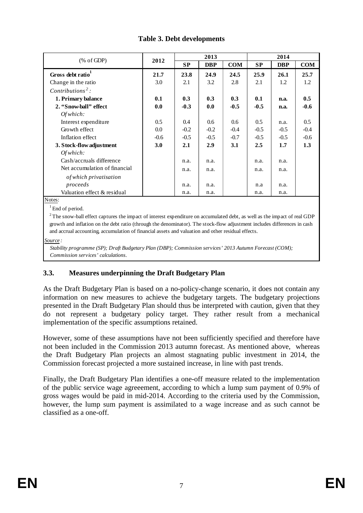| % of GDP                      | 2012       |        | 2013       |            | 2014      |            |            |  |
|-------------------------------|------------|--------|------------|------------|-----------|------------|------------|--|
|                               |            | SP     | <b>DBP</b> | <b>COM</b> | <b>SP</b> | <b>DBP</b> | <b>COM</b> |  |
| Gross debt ratio <sup>1</sup> | 21.7       | 23.8   | 24.9       | 24.5       | 25.9      | 26.1       | 25.7       |  |
| Change in the ratio           | 3.0        | 2.1    | 3.2        | 2.8        | 2.1       | 1.2        | 1.2        |  |
| $Contributions2$ :            |            |        |            |            |           |            |            |  |
| 1. Primary balance            | 0.1        | 0.3    | 0.3        | 0.3        | 0.1       | n.a.       | 0.5        |  |
| 2. "Snow-ball" effect         | 0.0        | $-0.3$ | 0.0        | $-0.5$     | $-0.5$    | n.a.       | $-0.6$     |  |
| Of which:                     |            |        |            |            |           |            |            |  |
| Interest expenditure          | 0.5        | 0.4    | 0.6        | 0.6        | 0.5       | n.a.       | 0.5        |  |
| Growth effect                 | 0.0        | $-0.2$ | $-0.2$     | $-0.4$     | $-0.5$    | $-0.5$     | $-0.4$     |  |
| Inflation effect              | $-0.6$     | $-0.5$ | $-0.5$     | $-0.7$     | $-0.5$    | $-0.5$     | $-0.6$     |  |
| 3. Stock-flow adjustment      | <b>3.0</b> | 2.1    | 2.9        | 3.1        | 2.5       | 1.7        | 1.3        |  |
| Of which:                     |            |        |            |            |           |            |            |  |
| Cash/accruals difference      |            | n.a.   | n.a.       |            | n.a.      | n.a.       |            |  |
| Net accumulation of financial |            | n.a.   | n.a.       |            | n.a.      | n.a.       |            |  |
| of which privatisation        |            |        |            |            |           |            |            |  |
| proceeds                      |            | n.a.   | n.a.       |            | n.a       | n.a.       |            |  |
| Valuation effect & residual   |            | n.a.   | n.a.       |            | n.a.      | n.a.       |            |  |

## **Table 3. Debt developments**

Notes:

<sup>1</sup> End of period.

 $2$ The snow-ball effect captures the impact of interest expenditure on accumulated debt, as well as the impact of real GDP growth and inflation on the debt ratio (through the denominator). The stock-flow adjustment includes differences in cash and accrual accounting, accumulation of financial assets and valuation and other residual effects.

*Source :*

*Stability programme (SP); Draft Budgetary Plan (DBP); Commission services' 2013 Autumn Forecast (COM); Commission services' calculations.*

# **3.3. Measures underpinning the Draft Budgetary Plan**

As the Draft Budgetary Plan is based on a no-policy-change scenario, it does not contain any information on new measures to achieve the budgetary targets. The budgetary projections presented in the Draft Budgetary Plan should thus be interpreted with caution, given that they do not represent a budgetary policy target. They rather result from a mechanical implementation of the specific assumptions retained.

However, some of these assumptions have not been sufficiently specified and therefore have not been included in the Commission 2013 autumn forecast. As mentioned above, whereas the Draft Budgetary Plan projects an almost stagnating public investment in 2014, the Commission forecast projected a more sustained increase, in line with past trends.

Finally, the Draft Budgetary Plan identifies a one-off measure related to the implementation of the public service wage agreeement, according to which a lump sum payment of 0.9% of gross wages would be paid in mid-2014. According to the criteria used by the Commission, however, the lump sum payment is assimilated to a wage increase and as such cannot be classified as a one-off.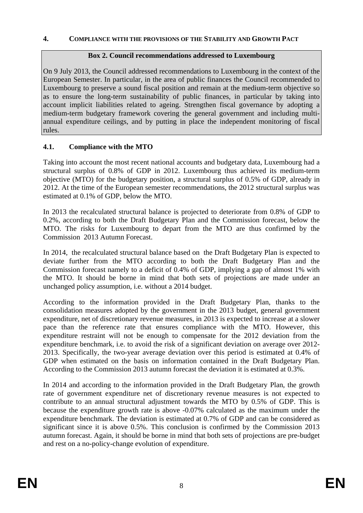### **4. COMPLIANCE WITH THE PROVISIONS OF THE STABILITY AND GROWTH PACT**

#### **Box 2. Council recommendations addressed to Luxembourg**

On 9 July 2013, the Council addressed recommendations to Luxembourg in the context of the European Semester. In particular, in the area of public finances the Council recommended to Luxembourg to preserve a sound fiscal position and remain at the medium-term objective so as to ensure the long-term sustainability of public finances, in particular by taking into account implicit liabilities related to ageing. Strengthen fiscal governance by adopting a medium-term budgetary framework covering the general government and including multiannual expenditure ceilings, and by putting in place the independent monitoring of fiscal rules.

### **4.1. Compliance with the MTO**

Taking into account the most recent national accounts and budgetary data, Luxembourg had a structural surplus of 0.8% of GDP in 2012. Luxembourg thus achieved its medium-term objective (MTO) for the budgetary position, a structural surplus of 0.5% of GDP, already in 2012. At the time of the European semester recommendations, the 2012 structural surplus was estimated at 0.1% of GDP, below the MTO.

In 2013 the recalculated structural balance is projected to deteriorate from 0.8% of GDP to 0.2%, according to both the Draft Budgetary Plan and the Commission forecast, below the MTO. The risks for Luxembourg to depart from the MTO are thus confirmed by the Commission 2013 Autumn Forecast.

In 2014, the recalculated structural balance based on the Draft Budgetary Plan is expected to deviate further from the MTO according to both the Draft Budgetary Plan and the Commission forecast namely to a deficit of 0.4% of GDP, implying a gap of almost 1% with the MTO. It should be borne in mind that both sets of projections are made under an unchanged policy assumption, i.e. without a 2014 budget.

According to the information provided in the Draft Budgetary Plan, thanks to the consolidation measures adopted by the government in the 2013 budget, general government expenditure, net of discretionary revenue measures, in 2013 is expected to increase at a slower pace than the reference rate that ensures compliance with the MTO. However, this expenditure restraint will not be enough to compensate for the 2012 deviation from the expenditure benchmark, i.e. to avoid the risk of a significant deviation on average over 2012- 2013. Specifically, the two-year average deviation over this period is estimated at 0.4% of GDP when estimated on the basis on information contained in the Draft Budgetary Plan. According to the Commission 2013 autumn forecast the deviation it is estimated at 0.3%.

In 2014 and according to the information provided in the Draft Budgetary Plan, the growth rate of government expenditure net of discretionary revenue measures is not expected to contribute to an annual structural adjustment towards the MTO by 0.5% of GDP. This is because the expenditure growth rate is above -0.07% calculated as the maximum under the expenditure benchmark. The deviation is estimated at 0.7% of GDP and can be considered as significant since it is above 0.5%. This conclusion is confirmed by the Commission 2013 autumn forecast. Again, it should be borne in mind that both sets of projections are pre-budget and rest on a no-policy-change evolution of expenditure.